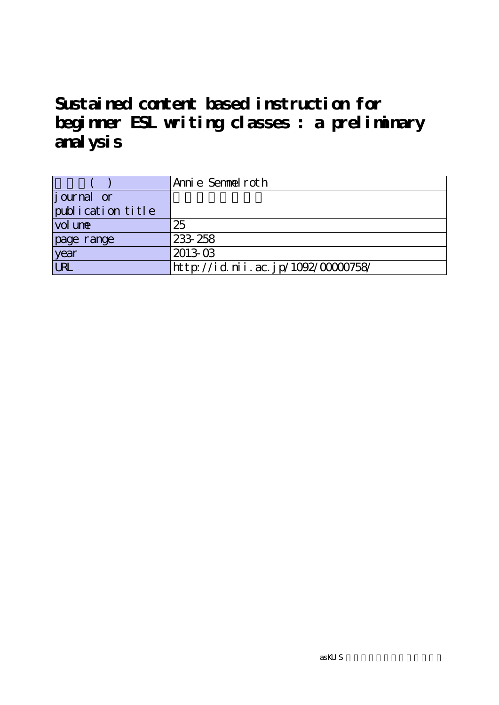**Sustained content based instruction for beginner ESL writing classes : a preliminary analysis**

|                    | 'Annie Semmelroth                  |
|--------------------|------------------------------------|
| <i>j</i> ournal or |                                    |
| publication title  |                                    |
| vol une            | 25                                 |
| page range         | 233 258                            |
| year               | $2013-03$                          |
| <b>URL</b>         | http://id.nii.ac.jp/1092/00000758/ |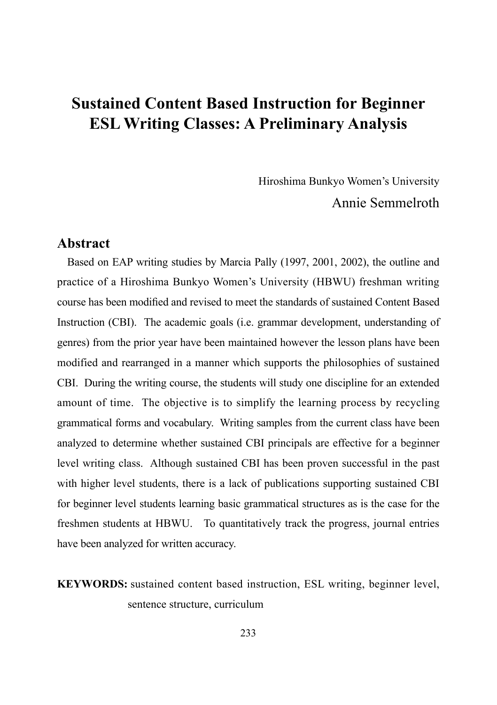Hiroshima Bunkyo Women's University Annie Semmelroth

### **Abstract**

Based on EAP writing studies by Marcia Pally (1997, 2001, 2002), the outline and practice of a Hiroshima Bunkyo Women's University (HBWU) freshman writing course has been modified and revised to meet the standards of sustained Content Based Instruction (CBI). The academic goals (i.e. grammar development, understanding of genres) from the prior year have been maintained however the lesson plans have been modified and rearranged in a manner which supports the philosophies of sustained CBI. During the writing course, the students will study one discipline for an extended amount of time. The objective is to simplify the learning process by recycling grammatical forms and vocabulary. Writing samples from the current class have been analyzed to determine whether sustained CBI principals are effective for a beginner level writing class. Although sustained CBI has been proven successful in the past with higher level students, there is a lack of publications supporting sustained CBI for beginner level students learning basic grammatical structures as is the case for the freshmen students at HBWU. To quantitatively track the progress, journal entries have been analyzed for written accuracy.

**KEYWORDS:** sustained content based instruction, ESL writing, beginner level, sentence structure, curriculum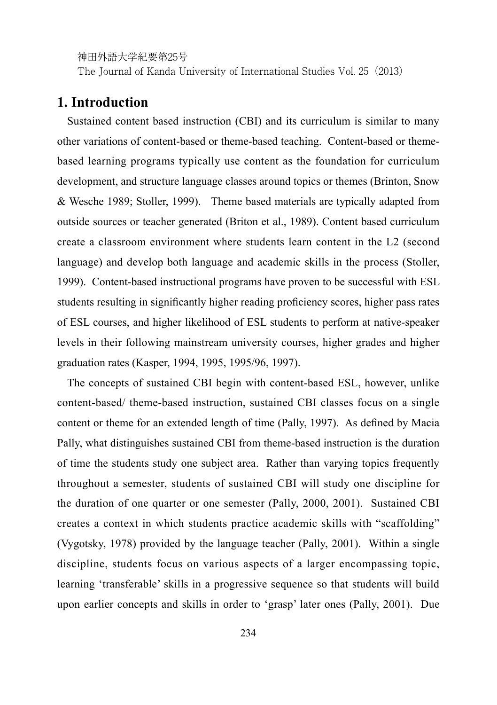The Journal of Kanda University of International Studies Vol. 25(2013)

### **1. Introduction**

Sustained content based instruction (CBI) and its curriculum is similar to many other variations of content-based or theme-based teaching. Content-based or themebased learning programs typically use content as the foundation for curriculum development, and structure language classes around topics or themes (Brinton, Snow & Wesche 1989; Stoller, 1999). Theme based materials are typically adapted from outside sources or teacher generated (Briton et al., 1989). Content based curriculum create a classroom environment where students learn content in the L2 (second language) and develop both language and academic skills in the process (Stoller, 1999). Content-based instructional programs have proven to be successful with ESL students resulting in significantly higher reading proficiency scores, higher pass rates of ESL courses, and higher likelihood of ESL students to perform at native-speaker levels in their following mainstream university courses, higher grades and higher graduation rates (Kasper, 1994, 1995, 1995/96, 1997).

The concepts of sustained CBI begin with content-based ESL, however, unlike content-based/ theme-based instruction, sustained CBI classes focus on a single content or theme for an extended length of time (Pally, 1997). As defined by Macia Pally, what distinguishes sustained CBI from theme-based instruction is the duration of time the students study one subject area. Rather than varying topics frequently throughout a semester, students of sustained CBI will study one discipline for the duration of one quarter or one semester (Pally, 2000, 2001). Sustained CBI creates a context in which students practice academic skills with "scaffolding" (Vygotsky, 1978) provided by the language teacher (Pally, 2001). Within a single discipline, students focus on various aspects of a larger encompassing topic, learning 'transferable' skills in a progressive sequence so that students will build upon earlier concepts and skills in order to 'grasp' later ones (Pally, 2001). Due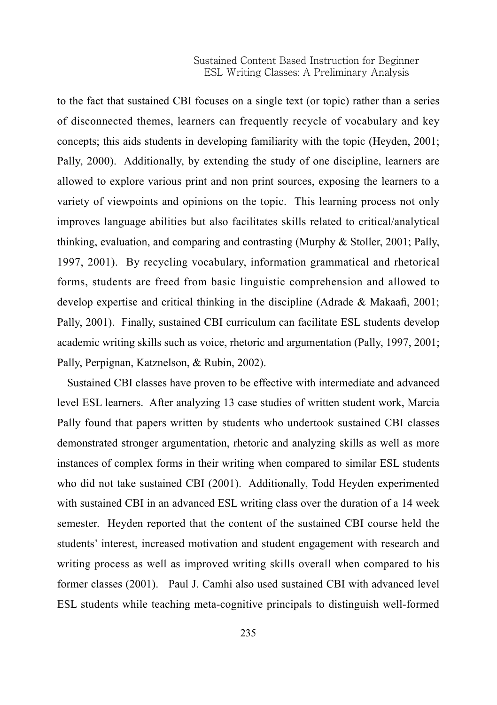to the fact that sustained CBI focuses on a single text (or topic) rather than a series of disconnected themes, learners can frequently recycle of vocabulary and key concepts; this aids students in developing familiarity with the topic (Heyden, 2001; Pally, 2000). Additionally, by extending the study of one discipline, learners are allowed to explore various print and non print sources, exposing the learners to a variety of viewpoints and opinions on the topic. This learning process not only improves language abilities but also facilitates skills related to critical/analytical thinking, evaluation, and comparing and contrasting (Murphy & Stoller, 2001; Pally, 1997, 2001). By recycling vocabulary, information grammatical and rhetorical forms, students are freed from basic linguistic comprehension and allowed to develop expertise and critical thinking in the discipline (Adrade & Makaafi, 2001; Pally, 2001). Finally, sustained CBI curriculum can facilitate ESL students develop academic writing skills such as voice, rhetoric and argumentation (Pally, 1997, 2001; Pally, Perpignan, Katznelson, & Rubin, 2002).

Sustained CBI classes have proven to be effective with intermediate and advanced level ESL learners. After analyzing 13 case studies of written student work, Marcia Pally found that papers written by students who undertook sustained CBI classes demonstrated stronger argumentation, rhetoric and analyzing skills as well as more instances of complex forms in their writing when compared to similar ESL students who did not take sustained CBI (2001). Additionally, Todd Heyden experimented with sustained CBI in an advanced ESL writing class over the duration of a 14 week semester. Heyden reported that the content of the sustained CBI course held the students' interest, increased motivation and student engagement with research and writing process as well as improved writing skills overall when compared to his former classes (2001). Paul J. Camhi also used sustained CBI with advanced level ESL students while teaching meta-cognitive principals to distinguish well-formed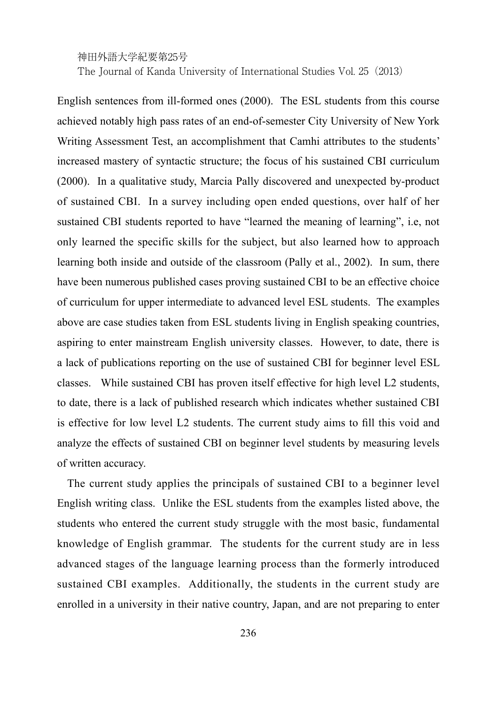The Journal of Kanda University of International Studies Vol. 25(2013)

English sentences from ill-formed ones (2000). The ESL students from this course achieved notably high pass rates of an end-of-semester City University of New York Writing Assessment Test, an accomplishment that Camhi attributes to the students' increased mastery of syntactic structure; the focus of his sustained CBI curriculum (2000). In a qualitative study, Marcia Pally discovered and unexpected by-product of sustained CBI. In a survey including open ended questions, over half of her sustained CBI students reported to have "learned the meaning of learning", i.e, not only learned the specific skills for the subject, but also learned how to approach learning both inside and outside of the classroom (Pally et al., 2002). In sum, there have been numerous published cases proving sustained CBI to be an effective choice of curriculum for upper intermediate to advanced level ESL students. The examples above are case studies taken from ESL students living in English speaking countries, aspiring to enter mainstream English university classes. However, to date, there is a lack of publications reporting on the use of sustained CBI for beginner level ESL classes. While sustained CBI has proven itself effective for high level L2 students, to date, there is a lack of published research which indicates whether sustained CBI is effective for low level L2 students. The current study aims to fill this void and analyze the effects of sustained CBI on beginner level students by measuring levels of written accuracy.

The current study applies the principals of sustained CBI to a beginner level English writing class. Unlike the ESL students from the examples listed above, the students who entered the current study struggle with the most basic, fundamental knowledge of English grammar. The students for the current study are in less advanced stages of the language learning process than the formerly introduced sustained CBI examples. Additionally, the students in the current study are enrolled in a university in their native country, Japan, and are not preparing to enter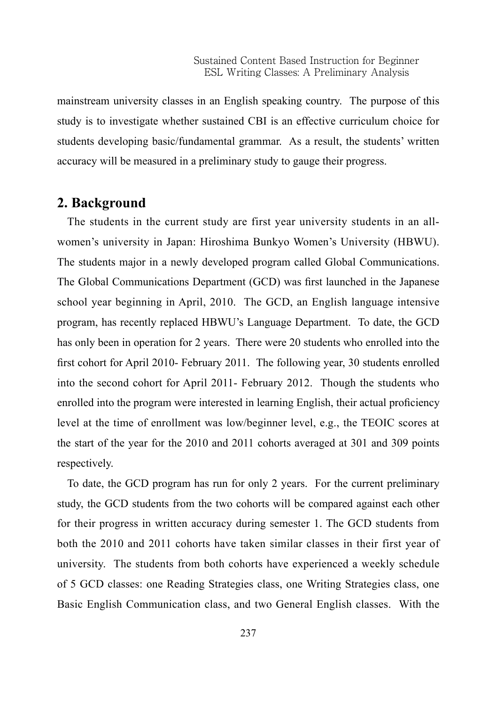mainstream university classes in an English speaking country. The purpose of this study is to investigate whether sustained CBI is an effective curriculum choice for students developing basic/fundamental grammar. As a result, the students' written accuracy will be measured in a preliminary study to gauge their progress.

### **2. Background**

The students in the current study are first year university students in an allwomen's university in Japan: Hiroshima Bunkyo Women's University (HBWU). The students major in a newly developed program called Global Communications. The Global Communications Department (GCD) was first launched in the Japanese school year beginning in April, 2010. The GCD, an English language intensive program, has recently replaced HBWU's Language Department. To date, the GCD has only been in operation for 2 years. There were 20 students who enrolled into the first cohort for April 2010- February 2011. The following year, 30 students enrolled into the second cohort for April 2011- February 2012. Though the students who enrolled into the program were interested in learning English, their actual proficiency level at the time of enrollment was low/beginner level, e.g., the TEOIC scores at the start of the year for the 2010 and 2011 cohorts averaged at 301 and 309 points respectively.

To date, the GCD program has run for only 2 years. For the current preliminary study, the GCD students from the two cohorts will be compared against each other for their progress in written accuracy during semester 1. The GCD students from both the 2010 and 2011 cohorts have taken similar classes in their first year of university. The students from both cohorts have experienced a weekly schedule of 5 GCD classes: one Reading Strategies class, one Writing Strategies class, one Basic English Communication class, and two General English classes. With the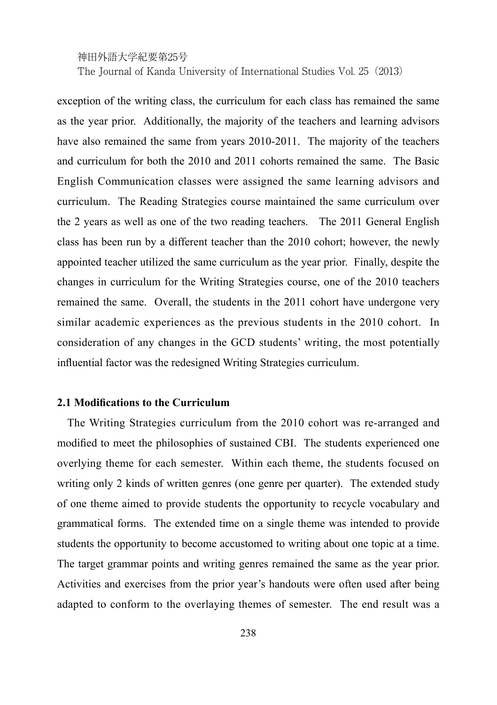exception of the writing class, the curriculum for each class has remained the same as the year prior. Additionally, the majority of the teachers and learning advisors have also remained the same from years 2010-2011. The majority of the teachers and curriculum for both the 2010 and 2011 cohorts remained the same. The Basic English Communication classes were assigned the same learning advisors and curriculum. The Reading Strategies course maintained the same curriculum over the 2 years as well as one of the two reading teachers. The 2011 General English class has been run by a different teacher than the 2010 cohort; however, the newly appointed teacher utilized the same curriculum as the year prior. Finally, despite the changes in curriculum for the Writing Strategies course, one of the 2010 teachers remained the same. Overall, the students in the 2011 cohort have undergone very similar academic experiences as the previous students in the 2010 cohort. In consideration of any changes in the GCD students' writing, the most potentially influential factor was the redesigned Writing Strategies curriculum.

#### **2.1 Modifications to the Curriculum**

The Writing Strategies curriculum from the 2010 cohort was re-arranged and modified to meet the philosophies of sustained CBI. The students experienced one overlying theme for each semester. Within each theme, the students focused on writing only 2 kinds of written genres (one genre per quarter). The extended study of one theme aimed to provide students the opportunity to recycle vocabulary and grammatical forms. The extended time on a single theme was intended to provide students the opportunity to become accustomed to writing about one topic at a time. The target grammar points and writing genres remained the same as the year prior. Activities and exercises from the prior year's handouts were often used after being adapted to conform to the overlaying themes of semester. The end result was a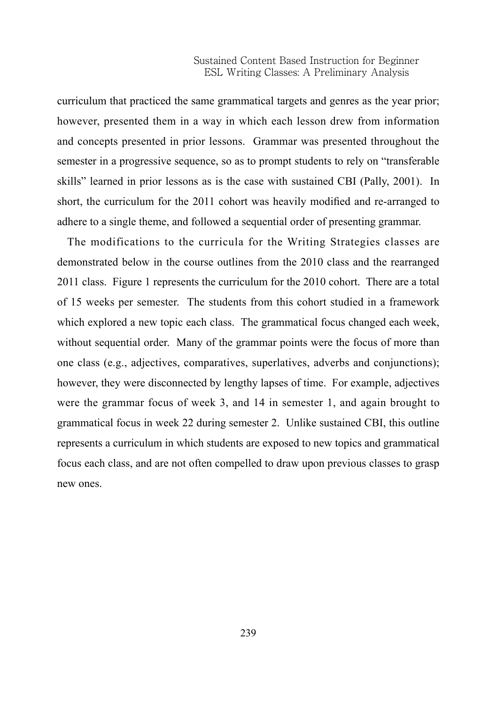curriculum that practiced the same grammatical targets and genres as the year prior; however, presented them in a way in which each lesson drew from information and concepts presented in prior lessons. Grammar was presented throughout the semester in a progressive sequence, so as to prompt students to rely on "transferable skills" learned in prior lessons as is the case with sustained CBI (Pally, 2001). In short, the curriculum for the 2011 cohort was heavily modified and re-arranged to adhere to a single theme, and followed a sequential order of presenting grammar.

The modifications to the curricula for the Writing Strategies classes are demonstrated below in the course outlines from the 2010 class and the rearranged 2011 class. Figure 1 represents the curriculum for the 2010 cohort. There are a total of 15 weeks per semester. The students from this cohort studied in a framework which explored a new topic each class. The grammatical focus changed each week, without sequential order. Many of the grammar points were the focus of more than one class (e.g., adjectives, comparatives, superlatives, adverbs and conjunctions); however, they were disconnected by lengthy lapses of time. For example, adjectives were the grammar focus of week 3, and 14 in semester 1, and again brought to grammatical focus in week 22 during semester 2. Unlike sustained CBI, this outline represents a curriculum in which students are exposed to new topics and grammatical focus each class, and are not often compelled to draw upon previous classes to grasp new ones.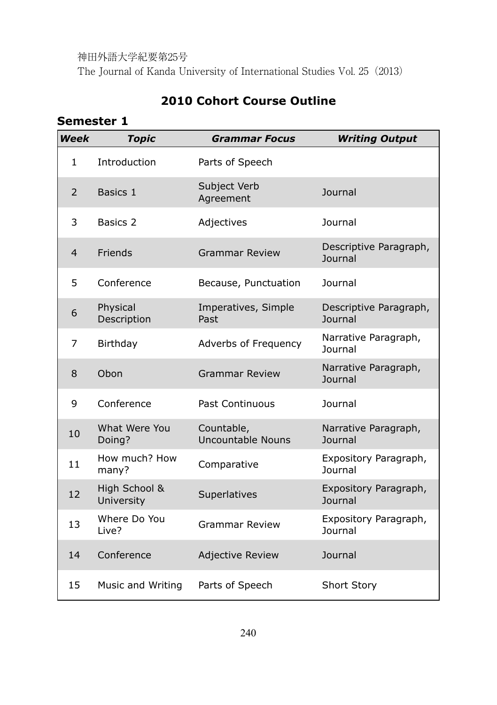# **2010 Cohort Course Outline**

# **Semester 1**

| Week           | <b>Topic</b>                | <b>Grammar Focus</b>            | <b>Writing Output</b>                   |
|----------------|-----------------------------|---------------------------------|-----------------------------------------|
| $\mathbf{1}$   | Introduction                | Parts of Speech                 |                                         |
| $\overline{2}$ | Basics 1                    | Subject Verb<br>Agreement       | Journal                                 |
| 3              | Basics 2                    | Adjectives                      | <b>Journal</b>                          |
| $\overline{4}$ | Friends                     | <b>Grammar Review</b>           | Descriptive Paragraph,<br>Journal       |
| 5              | Conference                  | Because, Punctuation            | Journal                                 |
| 6              | Physical<br>Description     | Imperatives, Simple<br>Past     | Descriptive Paragraph,<br>Journal       |
| 7              | Birthday                    | Adverbs of Frequency            | Narrative Paragraph,<br>Journal         |
| 8              | Obon                        | Grammar Review                  | Narrative Paragraph,<br>Journal         |
| 9              | Conference                  | Past Continuous                 | Journal                                 |
| 10             | What Were You<br>Doing?     | Countable,<br>Uncountable Nouns | Narrative Paragraph,<br>Journal         |
| 11             | How much? How<br>many?      | Comparative                     | Expository Paragraph,<br><b>Journal</b> |
| 12             | High School &<br>University | Superlatives                    | Expository Paragraph,<br>Journal        |
| 13             | Where Do You<br>Live?       | <b>Grammar Review</b>           | Expository Paragraph,<br>Journal        |
| 14             | Conference                  | <b>Adjective Review</b>         | Journal                                 |
| 15             | Music and Writing           | Parts of Speech                 | <b>Short Story</b>                      |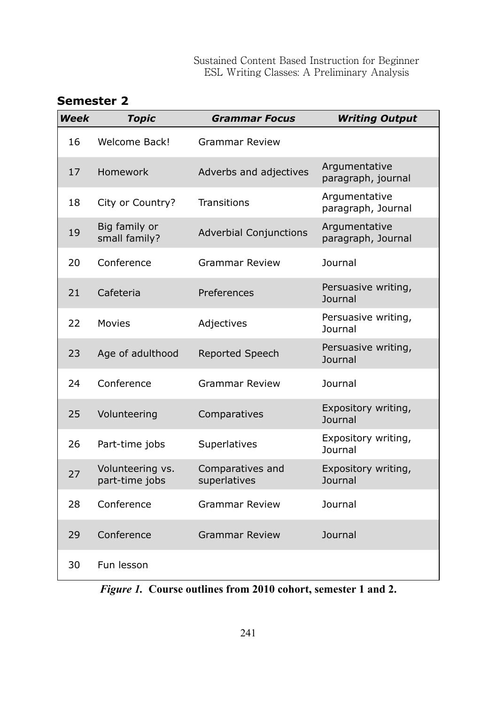| <b>Semester 2</b> |  |
|-------------------|--|
|-------------------|--|

| Week | <b>Topic</b>                       | <b>Grammar Focus</b>             | <b>Writing Output</b>                 |
|------|------------------------------------|----------------------------------|---------------------------------------|
| 16   | Welcome Back!                      | Grammar Review                   |                                       |
| 17   | Homework                           | Adverbs and adjectives           | Argumentative<br>paragraph, journal   |
| 18   | City or Country?                   | <b>Transitions</b>               | Argumentative<br>paragraph, Journal   |
| 19   | Big family or<br>small family?     | <b>Adverbial Conjunctions</b>    | Argumentative<br>paragraph, Journal   |
| 20   | Conference                         | <b>Grammar Review</b>            | Journal                               |
| 21   | Cafeteria                          | Preferences                      | Persuasive writing,<br>Journal        |
| 22   | Movies                             | Adjectives                       | Persuasive writing,<br>Journal        |
| 23   | Age of adulthood                   | Reported Speech                  | Persuasive writing,<br><b>Journal</b> |
| 24   | Conference                         | <b>Grammar Review</b>            | Journal                               |
| 25   | Volunteering                       | Comparatives                     | Expository writing,<br>Journal        |
| 26   | Part-time jobs                     | Superlatives                     | Expository writing,<br>Journal        |
| 27   | Volunteering vs.<br>part-time jobs | Comparatives and<br>superlatives | Expository writing,<br>Journal        |
| 28   | Conference                         | <b>Grammar Review</b>            | Journal                               |
| 29   | Conference                         | Grammar Review                   | Journal                               |
| 30   | Fun lesson                         |                                  |                                       |

*Figure 1.* **Course outlines from 2010 cohort, semester 1 and 2.**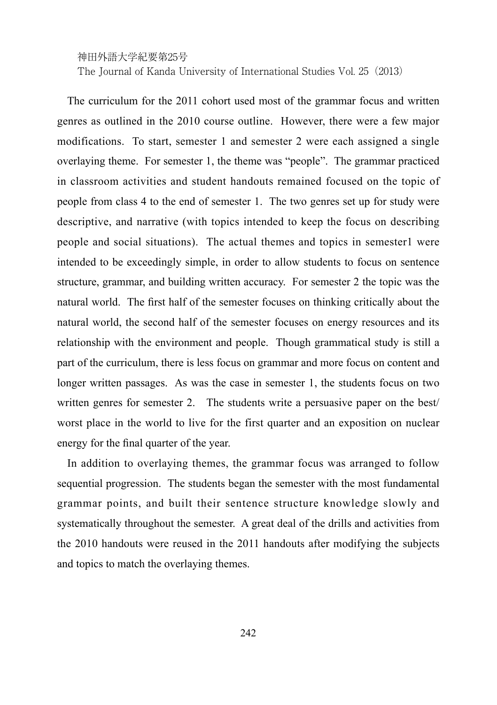The Journal of Kanda University of International Studies Vol. 25(2013)

The curriculum for the 2011 cohort used most of the grammar focus and written genres as outlined in the 2010 course outline. However, there were a few major modifications. To start, semester 1 and semester 2 were each assigned a single overlaying theme. For semester 1, the theme was "people". The grammar practiced in classroom activities and student handouts remained focused on the topic of people from class 4 to the end of semester 1. The two genres set up for study were descriptive, and narrative (with topics intended to keep the focus on describing people and social situations). The actual themes and topics in semester1 were intended to be exceedingly simple, in order to allow students to focus on sentence structure, grammar, and building written accuracy. For semester 2 the topic was the natural world. The first half of the semester focuses on thinking critically about the natural world, the second half of the semester focuses on energy resources and its relationship with the environment and people. Though grammatical study is still a part of the curriculum, there is less focus on grammar and more focus on content and longer written passages. As was the case in semester 1, the students focus on two written genres for semester 2. The students write a persuasive paper on the best/ worst place in the world to live for the first quarter and an exposition on nuclear energy for the final quarter of the year.

In addition to overlaying themes, the grammar focus was arranged to follow sequential progression. The students began the semester with the most fundamental grammar points, and built their sentence structure knowledge slowly and systematically throughout the semester. A great deal of the drills and activities from the 2010 handouts were reused in the 2011 handouts after modifying the subjects and topics to match the overlaying themes.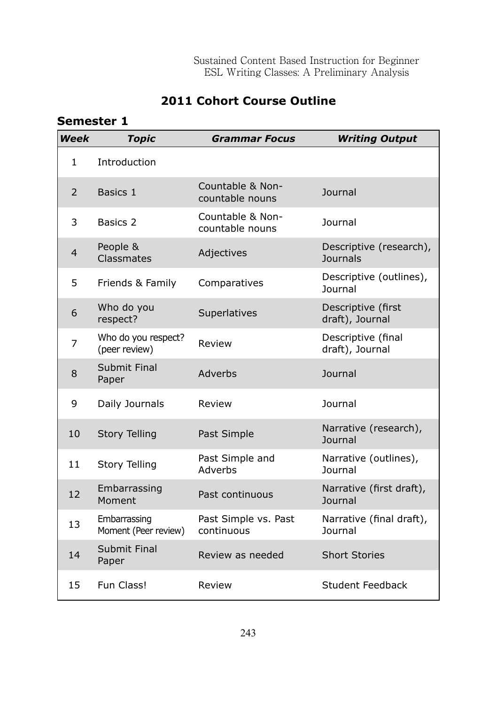# **2011 Cohort Course Outline**

# **Semester 1**

| Week | <b>Topic</b>                         | <b>Grammar Focus</b>                | <b>Writing Output</b>                      |
|------|--------------------------------------|-------------------------------------|--------------------------------------------|
| 1    | Introduction                         |                                     |                                            |
| 2    | Basics 1                             | Countable & Non-<br>countable nouns | Journal                                    |
| 3    | Basics 2                             | Countable & Non-<br>countable nouns | <b>Journal</b>                             |
| 4    | People &<br>Classmates               | Adjectives                          | Descriptive (research),<br><b>Journals</b> |
| 5    | Friends & Family                     | Comparatives                        | Descriptive (outlines),<br>Journal         |
| 6    | Who do you<br>respect?               | Superlatives                        | Descriptive (first<br>draft), Journal      |
| 7    | Who do you respect?<br>(peer review) | Review                              | Descriptive (final<br>draft), Journal      |
| 8    | Submit Final<br>Paper                | Adverbs                             | Journal                                    |
| 9    | Daily Journals                       | Review                              | Journal                                    |
| 10   | <b>Story Telling</b>                 | Past Simple                         | Narrative (research),<br><b>Journal</b>    |
| 11   | <b>Story Telling</b>                 | Past Simple and<br>Adverbs          | Narrative (outlines),<br><b>Journal</b>    |
| 12   | Embarrassing<br>Moment               | Past continuous                     | Narrative (first draft),<br>Journal        |
| 13   | Embarrassing<br>Moment (Peer review) | Past Simple vs. Past<br>continuous  | Narrative (final draft),<br>Journal        |
| 14   | Submit Final<br>Paper                | Review as needed                    | <b>Short Stories</b>                       |
| 15   | Fun Class!                           | Review                              | Student Feedback                           |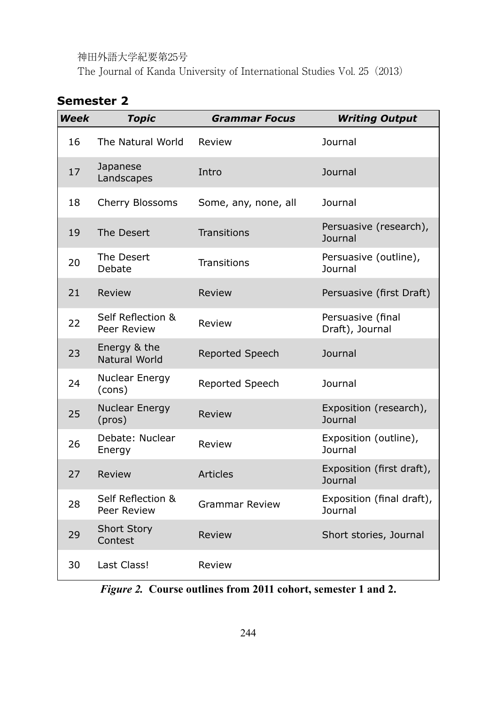The Journal of Kanda University of International Studies Vol. 25(2013)

# **Semester 2**

| <b>Week</b> | <b>Topic</b>                     | <b>Grammar Focus</b>   | <b>Writing Output</b>                |
|-------------|----------------------------------|------------------------|--------------------------------------|
| 16          | The Natural World                | Review                 | Journal                              |
| 17          | Japanese<br>Landscapes           | Intro                  | Journal                              |
| 18          | Cherry Blossoms                  | Some, any, none, all   | Journal                              |
| 19          | The Desert                       | Transitions            | Persuasive (research),<br>Journal    |
| 20          | The Desert<br>Debate             | <b>Transitions</b>     | Persuasive (outline),<br>Journal     |
| 21          | Review                           | Review                 | Persuasive (first Draft)             |
| 22          | Self Reflection &<br>Peer Review | Review                 | Persuasive (final<br>Draft), Journal |
| 23          | Energy & the<br>Natural World    | <b>Reported Speech</b> | Journal                              |
| 24          | Nuclear Energy<br>(cons)         | Reported Speech        | Journal                              |
| 25          | Nuclear Energy<br>(pros)         | Review                 | Exposition (research),<br>Journal    |
| 26          | Debate: Nuclear<br>Energy        | Review                 | Exposition (outline),<br>Journal     |
| 27          | Review                           | Articles               | Exposition (first draft),<br>Journal |
| 28          | Self Reflection &<br>Peer Review | <b>Grammar Review</b>  | Exposition (final draft),<br>Journal |
| 29          | <b>Short Story</b><br>Contest    | Review                 | Short stories, Journal               |
| 30          | Last Class!                      | Review                 |                                      |

*Figure 2.* **Course outlines from 2011 cohort, semester 1 and 2.**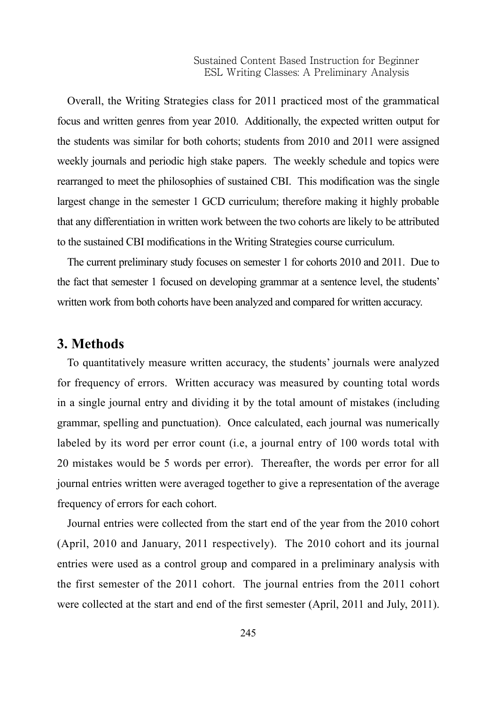Overall, the Writing Strategies class for 2011 practiced most of the grammatical focus and written genres from year 2010. Additionally, the expected written output for the students was similar for both cohorts; students from 2010 and 2011 were assigned weekly journals and periodic high stake papers. The weekly schedule and topics were rearranged to meet the philosophies of sustained CBI. This modification was the single largest change in the semester 1 GCD curriculum; therefore making it highly probable that any differentiation in written work between the two cohorts are likely to be attributed to the sustained CBI modifications in the Writing Strategies course curriculum.

The current preliminary study focuses on semester 1 for cohorts 2010 and 2011. Due to the fact that semester 1 focused on developing grammar at a sentence level, the students' written work from both cohorts have been analyzed and compared for written accuracy.

#### **3. Methods**

To quantitatively measure written accuracy, the students' journals were analyzed for frequency of errors. Written accuracy was measured by counting total words in a single journal entry and dividing it by the total amount of mistakes (including grammar, spelling and punctuation). Once calculated, each journal was numerically labeled by its word per error count (i.e, a journal entry of 100 words total with 20 mistakes would be 5 words per error). Thereafter, the words per error for all journal entries written were averaged together to give a representation of the average frequency of errors for each cohort.

Journal entries were collected from the start end of the year from the 2010 cohort (April, 2010 and January, 2011 respectively). The 2010 cohort and its journal entries were used as a control group and compared in a preliminary analysis with the first semester of the 2011 cohort. The journal entries from the 2011 cohort were collected at the start and end of the first semester (April, 2011 and July, 2011).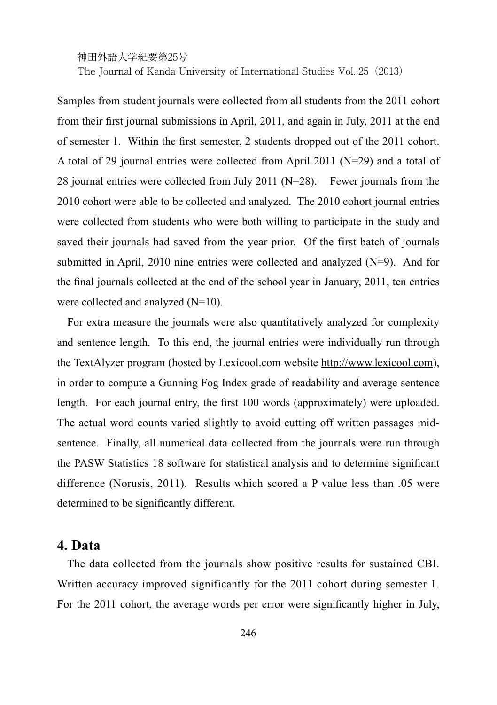Samples from student journals were collected from all students from the 2011 cohort from their first journal submissions in April, 2011, and again in July, 2011 at the end of semester 1. Within the first semester, 2 students dropped out of the 2011 cohort. A total of 29 journal entries were collected from April 2011 (N=29) and a total of 28 journal entries were collected from July 2011 (N=28). Fewer journals from the 2010 cohort were able to be collected and analyzed. The 2010 cohort journal entries were collected from students who were both willing to participate in the study and saved their journals had saved from the year prior. Of the first batch of journals submitted in April, 2010 nine entries were collected and analyzed (N=9). And for the final journals collected at the end of the school year in January, 2011, ten entries were collected and analyzed (N=10).

For extra measure the journals were also quantitatively analyzed for complexity and sentence length. To this end, the journal entries were individually run through the TextAlyzer program (hosted by Lexicool.com website http://www.lexicool.com), in order to compute a Gunning Fog Index grade of readability and average sentence length. For each journal entry, the first 100 words (approximately) were uploaded. The actual word counts varied slightly to avoid cutting off written passages midsentence. Finally, all numerical data collected from the journals were run through the PASW Statistics 18 software for statistical analysis and to determine significant difference (Norusis, 2011). Results which scored a P value less than .05 were determined to be significantly different.

#### **4. Data**

The data collected from the journals show positive results for sustained CBI. Written accuracy improved significantly for the 2011 cohort during semester 1. For the 2011 cohort, the average words per error were significantly higher in July,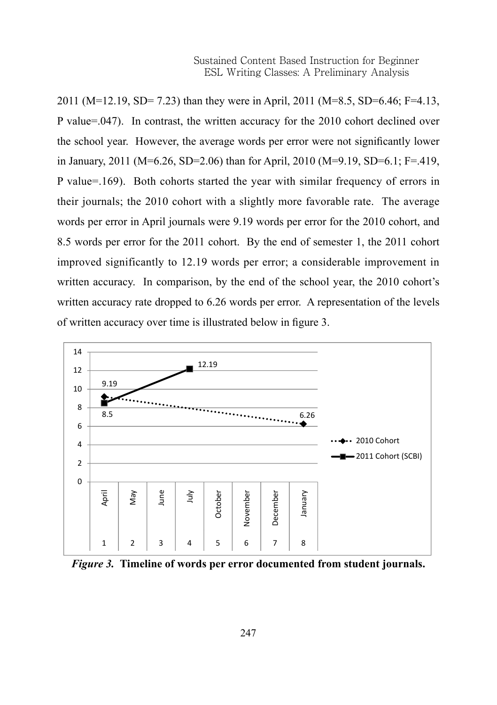2011 (M=12.19, SD= 7.23) than they were in April, 2011 (M=8.5, SD=6.46; F=4.13, P value=.047). In contrast, the written accuracy for the 2010 cohort declined over the school year. However, the average words per error were not significantly lower in January, 2011 (M=6.26, SD=2.06) than for April, 2010 (M=9.19, SD=6.1; F=.419, P value=.169). Both cohorts started the year with similar frequency of errors in their journals; the 2010 cohort with a slightly more favorable rate. The average words per error in April journals were 9.19 words per error for the 2010 cohort, and 8.5 words per error for the 2011 cohort. By the end of semester 1, the 2011 cohort improved significantly to 12.19 words per error; a considerable improvement in written accuracy. In comparison, by the end of the school year, the 2010 cohort's written accuracy rate dropped to 6.26 words per error. A representation of the levels of written accuracy over time is illustrated below in figure 3. contrast, the written accuracy for the 2010 cohort declined over the  $(1, 2, 1, 2, 3, 2, 3, 2, 3, 1, 2, 3)$ semester 1, the 2011 cohort improved significantly to 12.19 words per error; a considerable



*Figure 3.* **Timeline of words per error documented from student journals.** Figure 3. Timeline of words per error documented from student journals.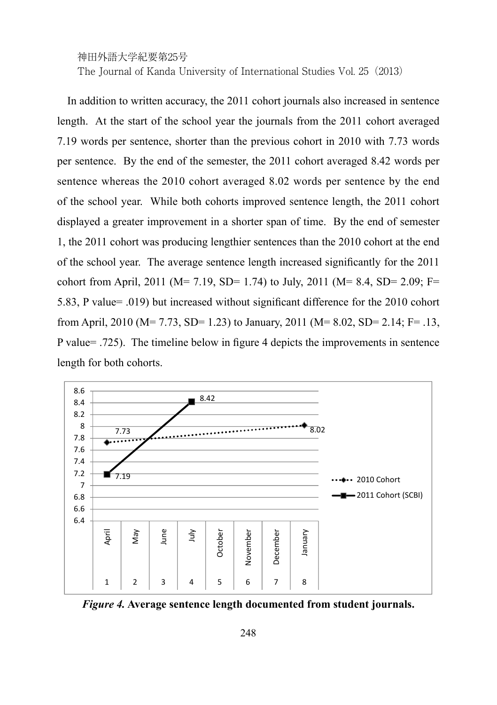In addition to written accuracy, the 2011 cohort journals also increased in sentence length. At the start of the school year the journals from the 2011 cohort averaged 7.19 words per sentence, shorter than the previous cohort in 2010 with 7.73 words per sentence. By the end of the semester, the 2011 cohort averaged 8.42 words per sentence whereas the 2010 cohort averaged 8.02 words per sentence by the end of the school year. While both cohorts improved sentence length, the 2011 cohort displayed a greater improvement in a shorter span of time. By the end of semester 1, the 2011 cohort was producing lengthier sentences than the 2010 cohort at the end of the school year. The average sentence length increased significantly for the 2011 cohort from April, 2011 (M= 7.19, SD= 1.74) to July, 2011 (M= 8.4, SD= 2.09; F= 5.83, P value= .019) but increased without significant difference for the 2010 cohort from April, 2010 (M= 7.73, SD= 1.23) to January, 2011 (M= 8.02, SD= 2.14; F= .13, P value= .725). The timeline below in figure 4 depicts the improvements in sentence length for both cohorts. where  $p$  shorter than the previous cohort in  $201$  with  $7.7$  words per sentence.  $20.93,$  SD=  $2.83,$  P values  $\frac{1}{2}$ for  $\frac{1}{2}$  (M=  $\frac{1}{2}$ ,  $\frac{1}{2}$ ,  $\frac{1}{2}$ ,  $\frac{1}{2}$ ) to January, 2011 (M= 8.02, SD= 2.17, 1  $\frac{1}{2}$ ,



*Figure 4.* **Average sentence length documented from student journals.** Figure <sup>4</sup>. Average sentence length documented from student journals.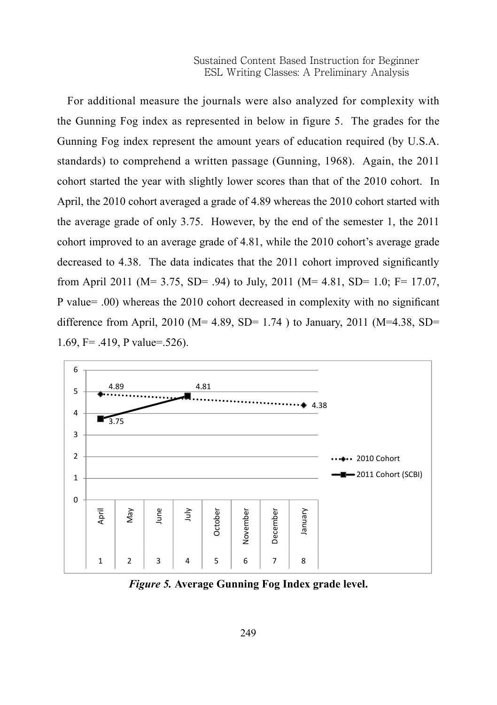For additional measure the journals were also analyzed for complexity with the Gunning Fog index as represented in below in figure 5. The grades for the Gunning Fog index represent the amount years of education required (by U.S.A. standards) to comprehend a written passage (Gunning, 1968). Again, the 2011 cohort started the year with slightly lower scores than that of the 2010 cohort. In April, the 2010 cohort averaged a grade of 4.89 whereas the 2010 cohort started with the average grade of only 3.75. However, by the end of the semester 1, the  $2011$ cohort improved to an average grade of 4.81, while the 2010 cohort's average grade decreased to 4.38. The data indicates that the 2011 cohort improved significantly from April 2011 (M= 3.75, SD= .94) to July, 2011 (M= 4.81, SD= 1.0; F= 17.07, P value= .00) whereas the 2010 cohort decreased in complexity with no significant difference from April, 2010 ( $M= 4.89$ , SD= 1.74) to January, 2011 ( $M=4.38$ , SD= 1.69, F= .419, P value=.526).  $2011$  cm  $201$  (M=  $201$ ,  $32 - 37$ ) to  $201$ ,  $32 - 375$  (M=  $3.75$   $32 - 375$ ,  $32 - 375$ ,



*Figure 5.* **Average Gunning Fog Index grade level.** Figure 5. Average Gunning Fog Index grade level.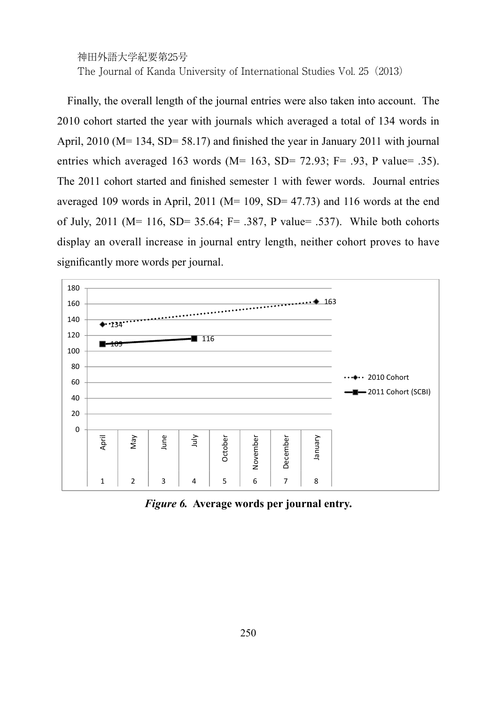Finally, the overall length of the journal entries were also taken into account. The 2010 cohort started the year with journals which averaged a total of 134 words in April, 2010 (M= 134, SD= 58.17) and finished the year in January 2011 with journal entries which averaged 163 words ( $M= 163$ ,  $SD= 72.93$ ;  $F=.93$ , P value= .35). The 2011 cohort started and finished semester 1 with fewer words. Journal entries averaged 109 words in April, 2011 ( $M= 109$ , SD= 47.73) and 116 words at the end of July, 2011 ( $M = 116$ , SD= 35.64; F= .387, P value= .537). While both cohorts display an overall increase in journal entry length, neither cohort proves to have significantly more words per journal.



*Figure 6.* **Average words per journal entry.** Figure 6. Average words per journal entry.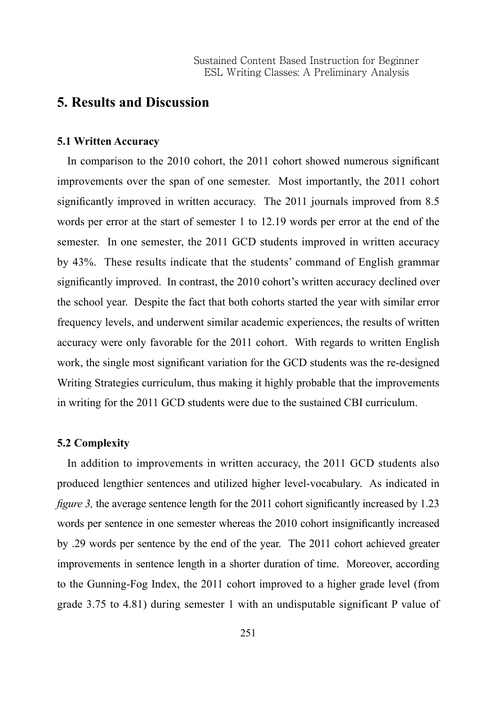## **5. Results and Discussion**

#### **5.1 Written Accuracy**

In comparison to the 2010 cohort, the 2011 cohort showed numerous significant improvements over the span of one semester. Most importantly, the 2011 cohort significantly improved in written accuracy. The 2011 journals improved from 8.5 words per error at the start of semester 1 to 12.19 words per error at the end of the semester. In one semester, the 2011 GCD students improved in written accuracy by 43%. These results indicate that the students' command of English grammar significantly improved. In contrast, the 2010 cohort's written accuracy declined over the school year. Despite the fact that both cohorts started the year with similar error frequency levels, and underwent similar academic experiences, the results of written accuracy were only favorable for the 2011 cohort. With regards to written English work, the single most significant variation for the GCD students was the re-designed Writing Strategies curriculum, thus making it highly probable that the improvements in writing for the 2011 GCD students were due to the sustained CBI curriculum.

#### **5.2 Complexity**

In addition to improvements in written accuracy, the 2011 GCD students also produced lengthier sentences and utilized higher level-vocabulary. As indicated in *figure 3,* the average sentence length for the 2011 cohort significantly increased by 1.23 words per sentence in one semester whereas the 2010 cohort insignificantly increased by .29 words per sentence by the end of the year. The 2011 cohort achieved greater improvements in sentence length in a shorter duration of time. Moreover, according to the Gunning-Fog Index, the 2011 cohort improved to a higher grade level (from grade 3.75 to 4.81) during semester 1 with an undisputable significant P value of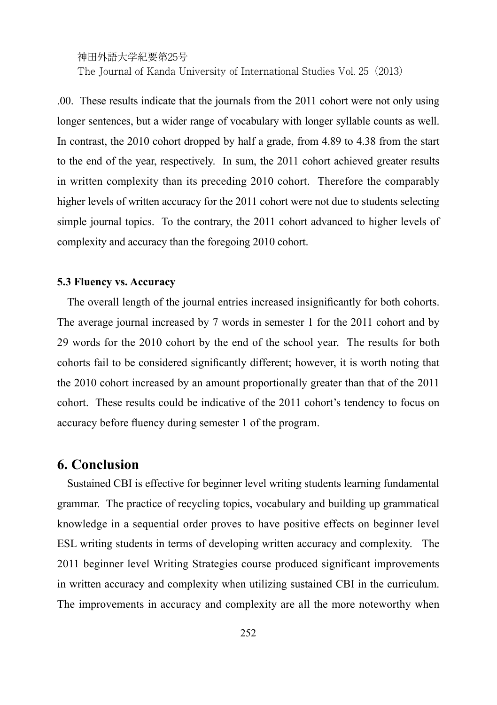.00. These results indicate that the journals from the 2011 cohort were not only using longer sentences, but a wider range of vocabulary with longer syllable counts as well. In contrast, the 2010 cohort dropped by half a grade, from 4.89 to 4.38 from the start to the end of the year, respectively. In sum, the 2011 cohort achieved greater results in written complexity than its preceding 2010 cohort. Therefore the comparably higher levels of written accuracy for the 2011 cohort were not due to students selecting simple journal topics. To the contrary, the 2011 cohort advanced to higher levels of complexity and accuracy than the foregoing 2010 cohort.

#### **5.3 Fluency vs. Accuracy**

The overall length of the journal entries increased insignificantly for both cohorts. The average journal increased by 7 words in semester 1 for the 2011 cohort and by 29 words for the 2010 cohort by the end of the school year. The results for both cohorts fail to be considered significantly different; however, it is worth noting that the 2010 cohort increased by an amount proportionally greater than that of the 2011 cohort. These results could be indicative of the 2011 cohort's tendency to focus on accuracy before fluency during semester 1 of the program.

#### **6. Conclusion**

Sustained CBI is effective for beginner level writing students learning fundamental grammar. The practice of recycling topics, vocabulary and building up grammatical knowledge in a sequential order proves to have positive effects on beginner level ESL writing students in terms of developing written accuracy and complexity. The 2011 beginner level Writing Strategies course produced significant improvements in written accuracy and complexity when utilizing sustained CBI in the curriculum. The improvements in accuracy and complexity are all the more noteworthy when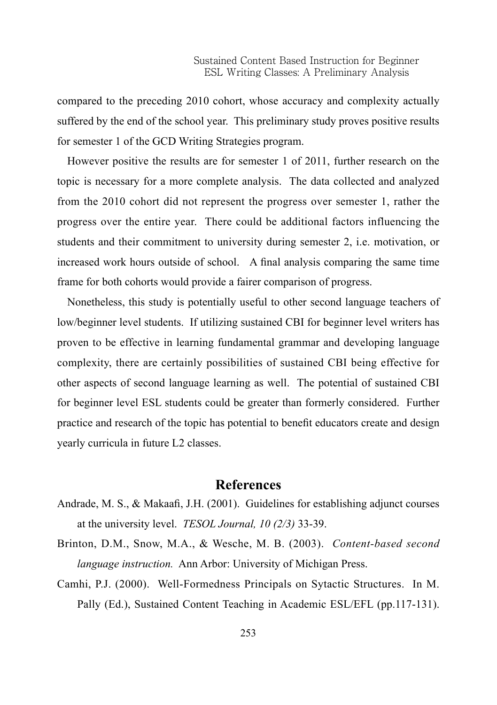compared to the preceding 2010 cohort, whose accuracy and complexity actually suffered by the end of the school year. This preliminary study proves positive results for semester 1 of the GCD Writing Strategies program.

However positive the results are for semester 1 of 2011, further research on the topic is necessary for a more complete analysis. The data collected and analyzed from the 2010 cohort did not represent the progress over semester 1, rather the progress over the entire year. There could be additional factors influencing the students and their commitment to university during semester 2, i.e. motivation, or increased work hours outside of school. A final analysis comparing the same time frame for both cohorts would provide a fairer comparison of progress.

Nonetheless, this study is potentially useful to other second language teachers of low/beginner level students. If utilizing sustained CBI for beginner level writers has proven to be effective in learning fundamental grammar and developing language complexity, there are certainly possibilities of sustained CBI being effective for other aspects of second language learning as well. The potential of sustained CBI for beginner level ESL students could be greater than formerly considered. Further practice and research of the topic has potential to benefit educators create and design yearly curricula in future L2 classes.

#### **References**

- Andrade, M. S., & Makaafi, J.H. (2001). Guidelines for establishing adjunct courses at the university level. *TESOL Journal, 10 (2/3)* 33-39.
- Brinton, D.M., Snow, M.A., & Wesche, M. B. (2003). *Content-based second language instruction.* Ann Arbor: University of Michigan Press.
- Camhi, P.J. (2000). Well-Formedness Principals on Sytactic Structures. In M. Pally (Ed.), Sustained Content Teaching in Academic ESL/EFL (pp.117-131).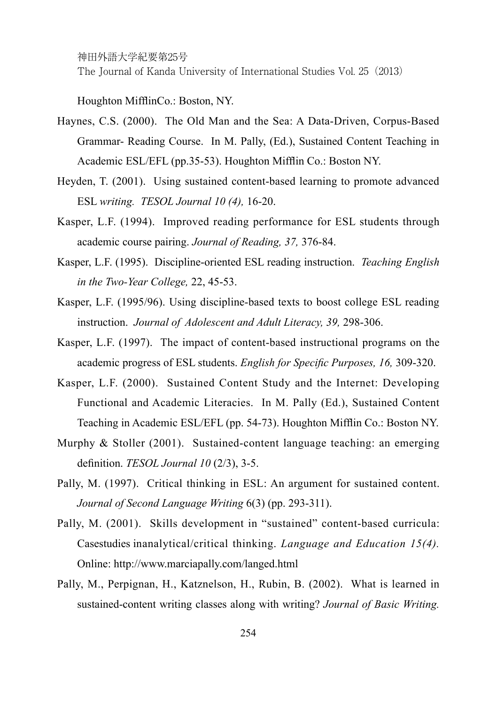The Journal of Kanda University of International Studies Vol. 25(2013)

Houghton MifflinCo.: Boston, NY.

- Haynes, C.S. (2000). The Old Man and the Sea: A Data-Driven, Corpus-Based Grammar- Reading Course. In M. Pally, (Ed.), Sustained Content Teaching in Academic ESL/EFL (pp.35-53). Houghton Mifflin Co.: Boston NY.
- Heyden, T. (2001). Using sustained content-based learning to promote advanced ESL *writing. TESOL Journal 10 (4),* 16-20.
- Kasper, L.F. (1994). Improved reading performance for ESL students through academic course pairing. *Journal of Reading, 37,* 376-84.
- Kasper, L.F. (1995). Discipline-oriented ESL reading instruction. *Teaching English in the Two-Year College,* 22, 45-53.
- Kasper, L.F. (1995/96). Using discipline-based texts to boost college ESL reading instruction. *Journal of Adolescent and Adult Literacy, 39,* 298-306.
- Kasper, L.F. (1997). The impact of content-based instructional programs on the academic progress of ESL students. *English for Specific Purposes, 16,* 309-320.
- Kasper, L.F. (2000). Sustained Content Study and the Internet: Developing Functional and Academic Literacies. In M. Pally (Ed.), Sustained Content Teaching in Academic ESL/EFL (pp. 54-73). Houghton Mifflin Co.: Boston NY.
- Murphy & Stoller (2001). Sustained-content language teaching: an emerging definition. *TESOL Journal 10* (2/3), 3-5.
- Pally, M. (1997). Critical thinking in ESL: An argument for sustained content. *Journal of Second Language Writing* 6(3) (pp. 293-311).
- Pally, M. (2001). Skills development in "sustained" content-based curricula: Casestudies inanalytical/critical thinking. *Language and Education 15(4).* Online: http://www.marciapally.com/langed.html
- Pally, M., Perpignan, H., Katznelson, H., Rubin, B. (2002). What is learned in sustained-content writing classes along with writing? *Journal of Basic Writing.*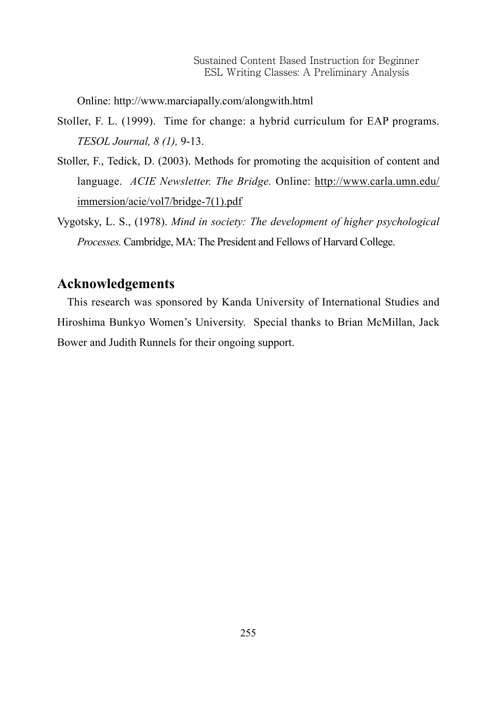Online: http://www.marciapally.com/alongwith.html

- Stoller, F. L. (1999). Time for change: a hybrid curriculum for EAP programs. *TESOL Journal, 8 (1),* 9-13.
- Stoller, F., Tedick, D. (2003). Methods for promoting the acquisition of content and language. *ACIE Newsletter. The Bridge.* Online: http://www.carla.umn.edu/ immersion/acie/vol7/bridge-7(1).pdf
- Vygotsky, L. S., (1978). *Mind in society: The development of higher psychological Processes.* Cambridge, MA: The President and Fellows of Harvard College.

### **Acknowledgements**

This research was sponsored by Kanda University of International Studies and Hiroshima Bunkyo Women's University. Special thanks to Brian McMillan, Jack Bower and Judith Runnels for their ongoing support.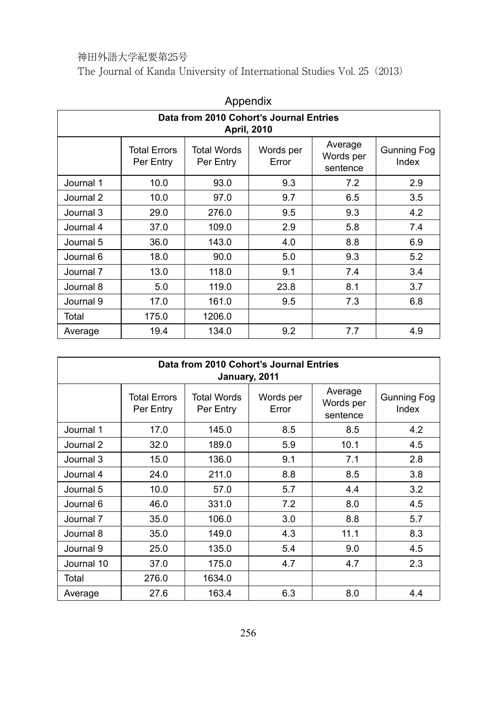The Journal of Kanda University of International Studies Vol. 25(2013)

| .                                                      |                                  |                          |                    |                                  |                             |
|--------------------------------------------------------|----------------------------------|--------------------------|--------------------|----------------------------------|-----------------------------|
| Data from 2010 Cohort's Journal Entries<br>April, 2010 |                                  |                          |                    |                                  |                             |
|                                                        | <b>Total Errors</b><br>Per Entry | Total Words<br>Per Entry | Words per<br>Error | Average<br>Words per<br>sentence | <b>Gunning Fog</b><br>Index |
| Journal 1                                              | 10.0                             | 93.0                     | 9.3                | 7.2                              | 2.9                         |
| Journal 2                                              | 10.0                             | 97.0                     | 9.7                | 6.5                              | 3.5                         |
| Journal 3                                              | 29.0                             | 276.0                    | 9.5                | 9.3                              | 4.2                         |
| Journal 4                                              | 37.0                             | 109.0                    | 2.9                | 5.8                              | 7.4                         |
| Journal 5                                              | 36.0                             | 143.0                    | 4.0                | 8.8                              | 6.9                         |
| Journal 6                                              | 18.0                             | 90.0                     | 5.0                | 9.3                              | 5.2                         |
| Journal 7                                              | 13.0                             | 118.0                    | 9.1                | 7.4                              | 3.4                         |
| Journal 8                                              | 5.0                              | 119.0                    | 23.8               | 8.1                              | 3.7                         |
| Journal 9                                              | 17.0                             | 161.0                    | 9.5                | 7.3                              | 6.8                         |
| Total                                                  | 175.0                            | 1206.0                   |                    |                                  |                             |
| Average                                                | 19.4                             | 134.0                    | 9.2                | 7.7                              | 4.9                         |

| Appendix |  |
|----------|--|
|----------|--|

| Data from 2010 Cohort's Journal Entries<br>January, 2011 |                                  |                          |                    |                                  |                             |
|----------------------------------------------------------|----------------------------------|--------------------------|--------------------|----------------------------------|-----------------------------|
|                                                          | <b>Total Errors</b><br>Per Entry | Total Words<br>Per Entry | Words per<br>Error | Average<br>Words per<br>sentence | <b>Gunning Fog</b><br>Index |
| Journal 1                                                | 17.0                             | 145.0                    | 8.5                | 8.5                              | 4.2                         |
| Journal 2                                                | 32.0                             | 189.0                    | 5.9                | 10.1                             | 4.5                         |
| Journal 3                                                | 15.0                             | 136.0                    | 9.1                | 7.1                              | 2.8                         |
| Journal 4                                                | 24.0                             | 211.0                    | 8.8                | 8.5                              | 3.8                         |
| Journal 5                                                | 10.0                             | 57.0                     | 5.7                | 4.4                              | 3.2                         |
| Journal 6                                                | 46.0                             | 331.0                    | 7.2                | 8.0                              | 4.5                         |
| Journal 7                                                | 35.0                             | 106.0                    | 3.0                | 8.8                              | 5.7                         |
| Journal 8                                                | 35.0                             | 149.0                    | 4.3                | 11.1                             | 8.3                         |
| Journal 9                                                | 25.0                             | 135.0                    | 5.4                | 9.0                              | 4.5                         |
| Journal 10                                               | 37.0                             | 175.0                    | 4.7                | 4.7                              | 2.3                         |
| Total                                                    | 276.0                            | 1634.0                   |                    |                                  |                             |
| Average                                                  | 27.6                             | 163.4                    | 6.3                | 8.0                              | 4.4                         |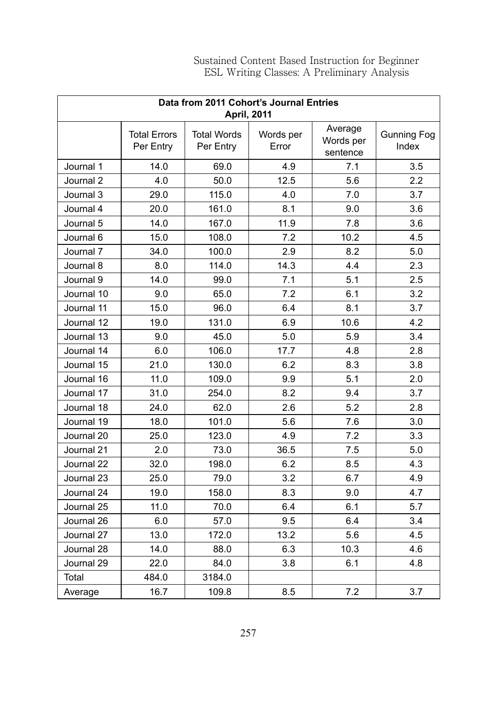| Data from 2011 Cohort's Journal Entries<br><b>April, 2011</b> |                                  |                                 |                    |                                  |                             |
|---------------------------------------------------------------|----------------------------------|---------------------------------|--------------------|----------------------------------|-----------------------------|
|                                                               | <b>Total Errors</b><br>Per Entry | <b>Total Words</b><br>Per Entry | Words per<br>Error | Average<br>Words per<br>sentence | <b>Gunning Fog</b><br>Index |
| Journal 1                                                     | 14.0                             | 69.0                            | 4.9                | 7.1                              | 3.5                         |
| Journal 2                                                     | 4.0                              | 50.0                            | 12.5               | 5.6                              | 2.2                         |
| Journal 3                                                     | 29.0                             | 115.0                           | 4.0                | 7.0                              | 3.7                         |
| Journal 4                                                     | 20.0                             | 161.0                           | 8.1                | 9.0                              | 3.6                         |
| Journal 5                                                     | 14.0                             | 167.0                           | 11.9               | 7.8                              | 3.6                         |
| Journal 6                                                     | 15.0                             | 108.0                           | 7.2                | 10.2                             | 4.5                         |
| Journal 7                                                     | 34.0                             | 100.0                           | 2.9                | 8.2                              | 5.0                         |
| Journal 8                                                     | 8.0                              | 114.0                           | 14.3               | 4.4                              | 2.3                         |
| Journal 9                                                     | 14.0                             | 99.0                            | 7.1                | 5.1                              | 2.5                         |
| Journal 10                                                    | 9.0                              | 65.0                            | 7.2                | 6.1                              | 3.2                         |
| Journal 11                                                    | 15.0                             | 96.0                            | 6.4                | 8.1                              | 3.7                         |
| Journal 12                                                    | 19.0                             | 131.0                           | 6.9                | 10.6                             | 4.2                         |
| Journal 13                                                    | 9.0                              | 45.0                            | 5.0                | 5.9                              | 3.4                         |
| Journal 14                                                    | 6.0                              | 106.0                           | 17.7               | 4.8                              | 2.8                         |
| Journal 15                                                    | 21.0                             | 130.0                           | 6.2                | 8.3                              | 3.8                         |
| Journal 16                                                    | 11.0                             | 109.0                           | 9.9                | 5.1                              | 2.0                         |
| Journal 17                                                    | 31.0                             | 254.0                           | 8.2                | 9.4                              | 3.7                         |
| Journal 18                                                    | 24.0                             | 62.0                            | 2.6                | 5.2                              | 2.8                         |
| Journal 19                                                    | 18.0                             | 101.0                           | 5.6                | 7.6                              | 3.0                         |
| Journal 20                                                    | 25.0                             | 123.0                           | 4.9                | 7.2                              | 3.3                         |
| Journal 21                                                    | 2.0                              | 73.0                            | 36.5               | 7.5                              | 5.0                         |
| Journal 22                                                    | 32.0                             | 198.0                           | 6.2                | 8.5                              | 4.3                         |
| Journal 23                                                    | 25.0                             | 79.0                            | 3.2                | 6.7                              | 4.9                         |
| Journal 24                                                    | 19.0                             | 158.0                           | 8.3                | 9.0                              | 4.7                         |
| Journal 25                                                    | 11.0                             | 70.0                            | 6.4                | 6.1                              | 5.7                         |
| Journal 26                                                    | 6.0                              | 57.0                            | 9.5                | 6.4                              | 3.4                         |
| Journal 27                                                    | 13.0                             | 172.0                           | 13.2               | 5.6                              | 4.5                         |
| Journal 28                                                    | 14.0                             | 88.0                            | 6.3                | 10.3                             | 4.6                         |
| Journal 29                                                    | 22.0                             | 84.0                            | 3.8                | 6.1                              | 4.8                         |
| Total                                                         | 484.0                            | 3184.0                          |                    |                                  |                             |
| Average                                                       | 16.7                             | 109.8                           | 8.5                | 7.2                              | 3.7                         |